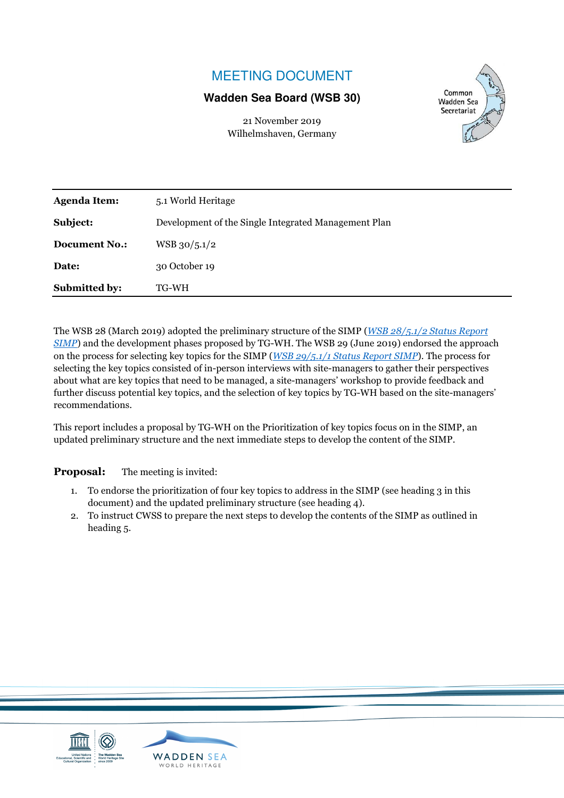# MEETING DOCUMENT

#### **Wadden Sea Board (WSB 30)**

21 November 2019 Wilhelmshaven, Germany



| <b>Document No.:</b> | $WSB$ 30/5.1/2 |
|----------------------|----------------|
| Date:                | 30 October 19  |
| <b>Submitted by:</b> | TG-WH          |

The WSB 28 (March 2019) adopted the preliminary structure of the SIMP (*WSB 28/5.1/2 Status Report SIMP*) and the development phases proposed by TG-WH. The WSB 29 (June 2019) endorsed the approach on the process for selecting key topics for the SIMP (*WSB 29/5.1/1 Status Report SIMP*). The process for selecting the key topics consisted of in-person interviews with site-managers to gather their perspectives about what are key topics that need to be managed, a site-managers' workshop to provide feedback and further discuss potential key topics, and the selection of key topics by TG-WH based on the site-managers' recommendations.

This report includes a proposal by TG-WH on the Prioritization of key topics focus on in the SIMP, an updated preliminary structure and the next immediate steps to develop the content of the SIMP.

**Proposal:** The meeting is invited:

- 1. To endorse the prioritization of four key topics to address in the SIMP (see heading 3 in this document) and the updated preliminary structure (see heading 4).
- 2. To instruct CWSS to prepare the next steps to develop the contents of the SIMP as outlined in heading 5.

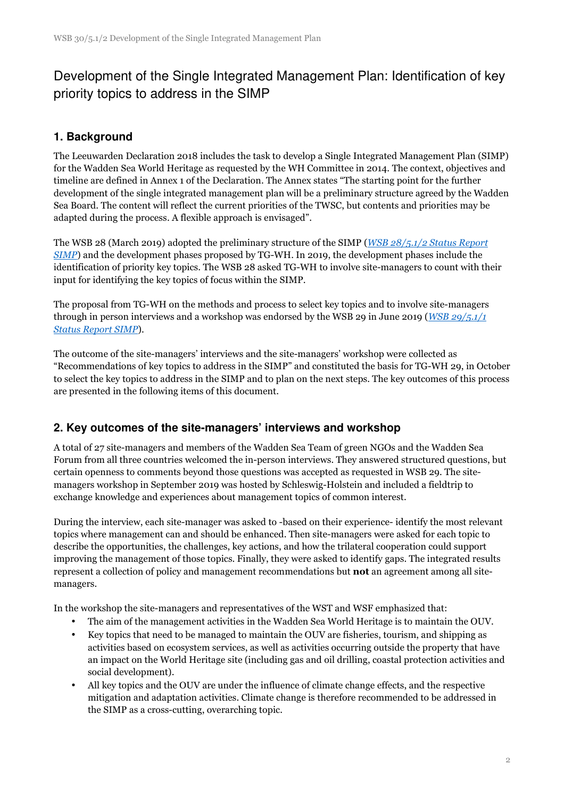# Development of the Single Integrated Management Plan: Identification of key priority topics to address in the SIMP

### **1. Background**

The Leeuwarden Declaration 2018 includes the task to develop a Single Integrated Management Plan (SIMP) for the Wadden Sea World Heritage as requested by the WH Committee in 2014. The context, objectives and timeline are defined in Annex 1 of the Declaration. The Annex states "The starting point for the further development of the single integrated management plan will be a preliminary structure agreed by the Wadden Sea Board. The content will reflect the current priorities of the TWSC, but contents and priorities may be adapted during the process. A flexible approach is envisaged".

The WSB 28 (March 2019) adopted the preliminary structure of the SIMP (*WSB 28/5.1/2 Status Report SIMP*) and the development phases proposed by TG-WH. In 2019, the development phases include the identification of priority key topics. The WSB 28 asked TG-WH to involve site-managers to count with their input for identifying the key topics of focus within the SIMP.

The proposal from TG-WH on the methods and process to select key topics and to involve site-managers through in person interviews and a workshop was endorsed by the WSB 29 in June 2019 (*WSB 29/5.1/1 Status Report SIMP*).

The outcome of the site-managers' interviews and the site-managers' workshop were collected as "Recommendations of key topics to address in the SIMP" and constituted the basis for TG-WH 29, in October to select the key topics to address in the SIMP and to plan on the next steps. The key outcomes of this process are presented in the following items of this document.

#### **2. Key outcomes of the site-managers' interviews and workshop**

A total of 27 site-managers and members of the Wadden Sea Team of green NGOs and the Wadden Sea Forum from all three countries welcomed the in-person interviews. They answered structured questions, but certain openness to comments beyond those questions was accepted as requested in WSB 29. The sitemanagers workshop in September 2019 was hosted by Schleswig-Holstein and included a fieldtrip to exchange knowledge and experiences about management topics of common interest.

During the interview, each site-manager was asked to -based on their experience- identify the most relevant topics where management can and should be enhanced. Then site-managers were asked for each topic to describe the opportunities, the challenges, key actions, and how the trilateral cooperation could support improving the management of those topics. Finally, they were asked to identify gaps. The integrated results represent a collection of policy and management recommendations but **not** an agreement among all sitemanagers.

In the workshop the site-managers and representatives of the WST and WSF emphasized that:

- The aim of the management activities in the Wadden Sea World Heritage is to maintain the OUV.
- Key topics that need to be managed to maintain the OUV are fisheries, tourism, and shipping as activities based on ecosystem services, as well as activities occurring outside the property that have an impact on the World Heritage site (including gas and oil drilling, coastal protection activities and social development).
- All key topics and the OUV are under the influence of climate change effects, and the respective mitigation and adaptation activities. Climate change is therefore recommended to be addressed in the SIMP as a cross-cutting, overarching topic.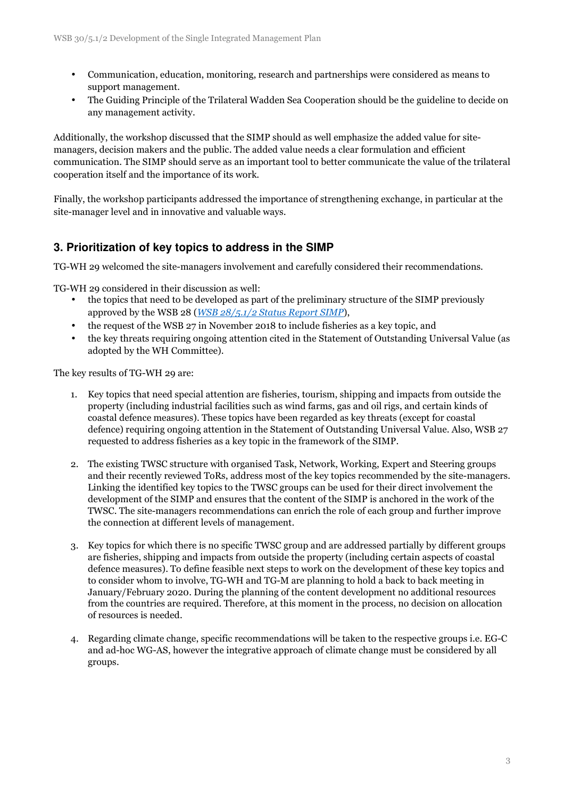- Communication, education, monitoring, research and partnerships were considered as means to support management.
- The Guiding Principle of the Trilateral Wadden Sea Cooperation should be the guideline to decide on any management activity.

Additionally, the workshop discussed that the SIMP should as well emphasize the added value for sitemanagers, decision makers and the public. The added value needs a clear formulation and efficient communication. The SIMP should serve as an important tool to better communicate the value of the trilateral cooperation itself and the importance of its work.

Finally, the workshop participants addressed the importance of strengthening exchange, in particular at the site-manager level and in innovative and valuable ways.

#### **3. Prioritization of key topics to address in the SIMP**

TG-WH 29 welcomed the site-managers involvement and carefully considered their recommendations.

TG-WH 29 considered in their discussion as well:

- the topics that need to be developed as part of the preliminary structure of the SIMP previously approved by the WSB 28 (*WSB 28/5.1/2 Status Report SIMP*),
- the request of the WSB 27 in November 2018 to include fisheries as a key topic, and
- the key threats requiring ongoing attention cited in the Statement of Outstanding Universal Value (as adopted by the WH Committee).

The key results of TG-WH 29 are:

- 1. Key topics that need special attention are fisheries, tourism, shipping and impacts from outside the property (including industrial facilities such as wind farms, gas and oil rigs, and certain kinds of coastal defence measures). These topics have been regarded as key threats (except for coastal defence) requiring ongoing attention in the Statement of Outstanding Universal Value. Also, WSB 27 requested to address fisheries as a key topic in the framework of the SIMP.
- 2. The existing TWSC structure with organised Task, Network, Working, Expert and Steering groups and their recently reviewed ToRs, address most of the key topics recommended by the site-managers. Linking the identified key topics to the TWSC groups can be used for their direct involvement the development of the SIMP and ensures that the content of the SIMP is anchored in the work of the TWSC. The site-managers recommendations can enrich the role of each group and further improve the connection at different levels of management.
- 3. Key topics for which there is no specific TWSC group and are addressed partially by different groups are fisheries, shipping and impacts from outside the property (including certain aspects of coastal defence measures). To define feasible next steps to work on the development of these key topics and to consider whom to involve, TG-WH and TG-M are planning to hold a back to back meeting in January/February 2020. During the planning of the content development no additional resources from the countries are required. Therefore, at this moment in the process, no decision on allocation of resources is needed.
- 4. Regarding climate change, specific recommendations will be taken to the respective groups i.e. EG-C and ad-hoc WG-AS, however the integrative approach of climate change must be considered by all groups.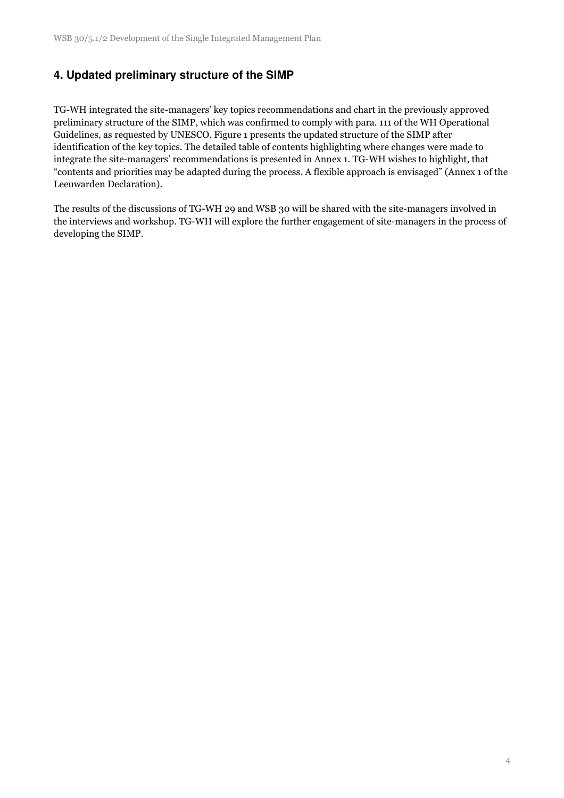### **4. Updated preliminary structure of the SIMP**

TG-WH integrated the site-managers' key topics recommendations and chart in the previously approved preliminary structure of the SIMP, which was confirmed to comply with para. 111 of the WH Operational Guidelines, as requested by UNESCO. Figure 1 presents the updated structure of the SIMP after identification of the key topics. The detailed table of contents highlighting where changes were made to integrate the site-managers' recommendations is presented in Annex 1. TG-WH wishes to highlight, that "contents and priorities may be adapted during the process. A flexible approach is envisaged" (Annex 1 of the Leeuwarden Declaration).

The results of the discussions of TG-WH 29 and WSB 30 will be shared with the site-managers involved in the interviews and workshop. TG-WH will explore the further engagement of site-managers in the process of developing the SIMP.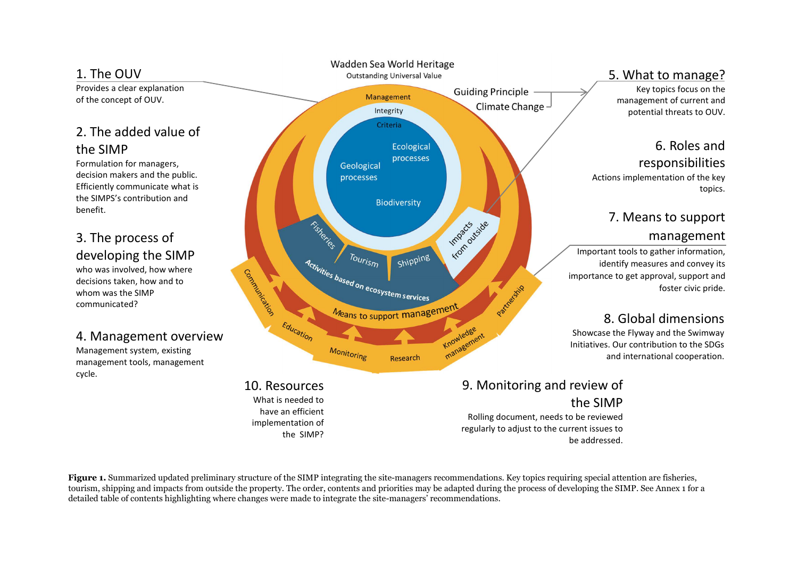

topics.

**Figure 1.** Summarized updated preliminary structure of the SIMP integrating the site-managers recommendations. Key topics requiring special attention are fisheries, tourism, shipping and impacts from outside the property. The order, contents and priorities may be adapted during the process of developing the SIMP. See Annex 1 for a detailed table of contents highlighting where changes were made to integrate the site-managers' recommendations.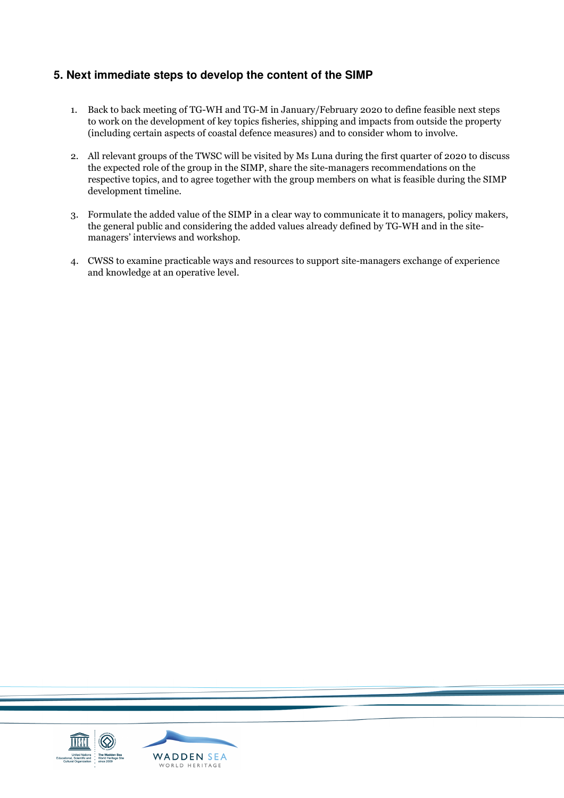#### **5. Next immediate steps to develop the content of the SIMP**

- 1. Back to back meeting of TG-WH and TG-M in January/February 2020 to define feasible next steps to work on the development of key topics fisheries, shipping and impacts from outside the property (including certain aspects of coastal defence measures) and to consider whom to involve.
- 2. All relevant groups of the TWSC will be visited by Ms Luna during the first quarter of 2020 to discuss the expected role of the group in the SIMP, share the site-managers recommendations on the respective topics, and to agree together with the group members on what is feasible during the SIMP development timeline.
- 3. Formulate the added value of the SIMP in a clear way to communicate it to managers, policy makers, the general public and considering the added values already defined by TG-WH and in the sitemanagers' interviews and workshop.
- 4. CWSS to examine practicable ways and resources to support site-managers exchange of experience and knowledge at an operative level.